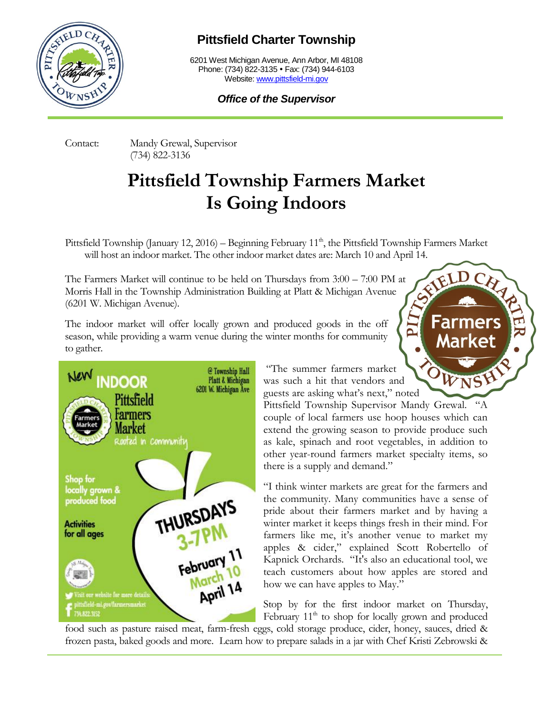

## **Pittsfield Charter Township**

6201 West Michigan Avenue, Ann Arbor, MI 48108 Phone: (734) 822-3135 • Fax: (734) 944-6103 Website[: www.pittsfield-mi.gov](http://www.pittsfield-mi.gov/)

## *Office of the Supervisor*

Contact: Mandy Grewal, Supervisor (734) 822-3136

## **Pittsfield Township Farmers Market Is Going Indoors**

Pittsfield Township (January 12, 2016) – Beginning February  $11<sup>th</sup>$ , the Pittsfield Township Farmers Market

will host an indoor market. The other indoor market dates are: March 10 and April 14.<br>Farmers Market will continue to be held on Thursdays from 3:00 – 7:00 PM at<br>ris Hall in the Township Administration Building at Platt 8, The Farmers Market will continue to be held on Thursdays from 3:00 – 7:00 PM at Morris Hall in the Township Administration Building at Platt & Michigan Avenue (6201 W. Michigan Avenue).

The indoor market will offer locally grown and produced goods in the off season, while providing a warm venue during the winter months for community to gather.



"The summer farmers market was such a hit that vendors and guests are asking what's next," noted

Pittsfield Township Supervisor Mandy Grewal. "A couple of local farmers use hoop houses which can extend the growing season to provide produce such as kale, spinach and root vegetables, in addition to other year-round farmers market specialty items, so there is a supply and demand."

**Farmers** 

**Market** 

"I think winter markets are great for the farmers and the community. Many communities have a sense of pride about their farmers market and by having a winter market it keeps things fresh in their mind. For farmers like me, it's another venue to market my apples & cider," explained Scott Robertello of Kapnick Orchards. "It's also an educational tool, we teach customers about how apples are stored and how we can have apples to May."

Stop by for the first indoor market on Thursday, February  $11<sup>th</sup>$  to shop for locally grown and produced

food such as pasture raised meat, farm-fresh eggs, cold storage produce, cider, honey, sauces, dried & frozen pasta, baked goods and more. Learn how to prepare salads in a jar with Chef Kristi Zebrowski &